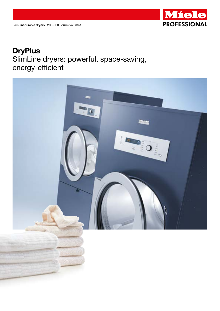

# **DryPlus** SlimLine dryers: powerful, space-saving, energy-efficient

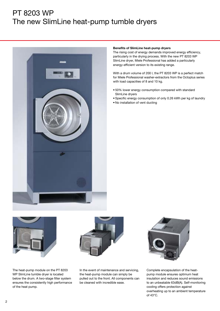# PT 8203 WP The new SlimLine heat-pump tumble dryers



#### Benefits of SlimLine heat-pump dryers

The rising cost of energy demands improved energy efficiency, particularly in the drying process. With the new PT 8203 WP SlimLine dryer, Miele Professional has added a particularly energy-efficient version to its existing range.

With a drum volume of 200 l, the PT 8203 WP is a perfect match for Miele Professional washer-extractors from the Octoplus series with load capacities of 8 and 10 kg.

- 50% lower energy consumption compared with standard SlimLine dryers
- Specific energy consumption of only 0.26 kWh per kg of laundry
- No installation of vent ducting



The heat-pump module on the PT 8203 WP SlimLine tumble dryer is located below the drum. A two-stage filter system ensures the consistently high performance of the heat pump.



In the event of maintenance and servicing, the heat-pump module can simply be pulled out to the front. All components can be cleaned with incredible ease.



Complete encapsulation of the heatpump module ensures optimum heat insulation and reduces sound emissions to an unbeatable 63dB(A). Self-monitoring cooling offers protection against overheating up to an ambient temperature of 43°C.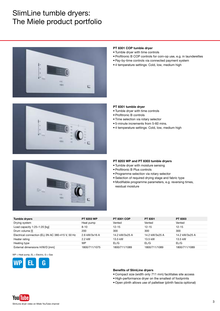# SlimLine tumble dryers: The Miele product portfolio





- Tumble dryer with time controls
- Profitronic B COP controls for coin-op use, e.g. in launderettes
- Pay-by-time controls via connected payment system
- 4 temperature settings: Cold, low, medium high



#### PT 8301 tumble dryer

- Tumble dryer with time controls
- Profitronic B controls
- Time selection via rotary selector
- 5-minute increments from 5-60 mins.
- 4 temperature settings: Cold, low, medium high



## PT 8203 WP and PT 8303 tumble dryers

- Tumble dryer with moisture sensing
- Profitronic B Plus controls
- Programme selection via rotary selector
- Selection of required drying stage and fabric type
- Modifiable programme parameters, e.g. reversing times, residual moisture

| <b>Tumble dryers</b>                              | <b>PT 8203 WP</b> | <b>PT 8301 COP</b> | PT 8301        | PT 8303        |
|---------------------------------------------------|-------------------|--------------------|----------------|----------------|
| Drying system                                     | Heat pump         | Vented             | Vented         | Vented         |
| Load capacity $1:25-1:20$ [kg]                    | $8 - 10$          | $12 - 15$          | $12 - 15$      | $12 - 15$      |
| Drum volume [I]                                   | 200               | 300                | 300            | 300            |
| Electrical connection (EL) 3N AC 380-415 V, 50 Hz | 2.6 kW/3x16 A     | 14.2 kW/3x25 A     | 14.2 kW/3x25 A | 14.2 kW/3x25 A |
| Heater rating                                     | 2.2 kW            | 13.5 kW            | 13.5 kW        | 13.5 kW        |
| Heating type                                      | <b>WP</b>         | $E\cup G$          | EL/G           | EL/G           |
| External dimensions H/W/D [mm]                    | 1800/711/1075     | 1800/711/1089      | 1800/711/1089  | 1800/711/1089  |

 $WP = Heat$  pump,  $EL = Electric, G = Gas$ 



### Benefits of SlimLine dryers

- Compact size (width only 711 mm) facilitates site access
- High-performance dryer on the smallest of footprints
- Open plinth allows use of palletiser (plinth fascia optional)